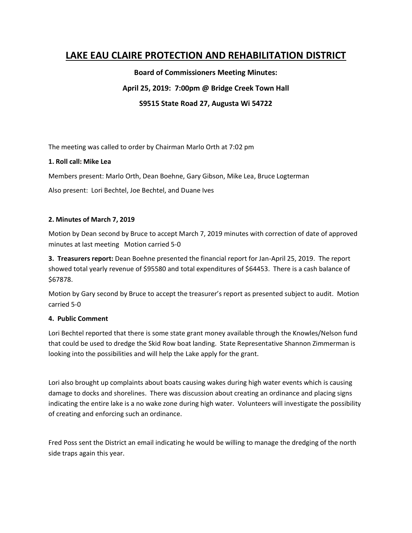# **LAKE EAU CLAIRE PROTECTION AND REHABILITATION DISTRICT**

**Board of Commissioners Meeting Minutes:**

## **April 25, 2019: 7:00pm @ Bridge Creek Town Hall**

**S9515 State Road 27, Augusta Wi 54722**

The meeting was called to order by Chairman Marlo Orth at 7:02 pm

## **1. Roll call: Mike Lea**

Members present: Marlo Orth, Dean Boehne, Gary Gibson, Mike Lea, Bruce Logterman

Also present: Lori Bechtel, Joe Bechtel, and Duane Ives

### **2. Minutes of March 7, 2019**

Motion by Dean second by Bruce to accept March 7, 2019 minutes with correction of date of approved minutes at last meeting Motion carried 5-0

**3. Treasurers report:** Dean Boehne presented the financial report for Jan-April 25, 2019. The report showed total yearly revenue of \$95580 and total expenditures of \$64453. There is a cash balance of \$67878.

Motion by Gary second by Bruce to accept the treasurer's report as presented subject to audit. Motion carried 5-0

### **4. Public Comment**

Lori Bechtel reported that there is some state grant money available through the Knowles/Nelson fund that could be used to dredge the Skid Row boat landing. State Representative Shannon Zimmerman is looking into the possibilities and will help the Lake apply for the grant.

Lori also brought up complaints about boats causing wakes during high water events which is causing damage to docks and shorelines. There was discussion about creating an ordinance and placing signs indicating the entire lake is a no wake zone during high water. Volunteers will investigate the possibility of creating and enforcing such an ordinance.

Fred Poss sent the District an email indicating he would be willing to manage the dredging of the north side traps again this year.